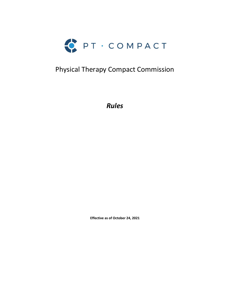

# Physical Therapy Compact Commission

*Rules* 

**Effective as of October 24, 2021**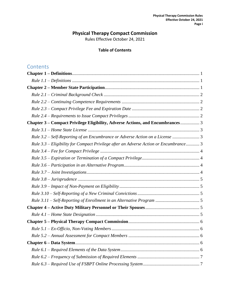# **Physical Therapy Compact Commission**

Rules Effective October 24, 2021

## **Table of Contents**

# **Contents**

| Chapter 3 – Compact Privilege Eligibility, Adverse Actions, and Encumbrances 3        |
|---------------------------------------------------------------------------------------|
|                                                                                       |
| Rule 3.2 - Self-Reporting of an Encumbrance or Adverse Action on a License  3         |
| Rule 3.3 – Eligibility for Compact Privilege after an Adverse Action or Encumbrance 3 |
|                                                                                       |
|                                                                                       |
|                                                                                       |
|                                                                                       |
|                                                                                       |
|                                                                                       |
|                                                                                       |
|                                                                                       |
|                                                                                       |
|                                                                                       |
|                                                                                       |
|                                                                                       |
|                                                                                       |
|                                                                                       |
|                                                                                       |
|                                                                                       |
|                                                                                       |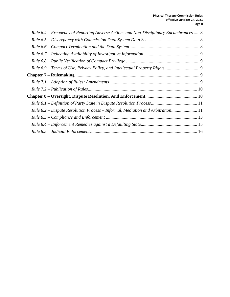| Rule 6.4 - Frequency of Reporting Adverse Actions and Non-Disciplinary Encumbrances  8 |  |
|----------------------------------------------------------------------------------------|--|
|                                                                                        |  |
|                                                                                        |  |
|                                                                                        |  |
|                                                                                        |  |
|                                                                                        |  |
|                                                                                        |  |
|                                                                                        |  |
|                                                                                        |  |
|                                                                                        |  |
|                                                                                        |  |
| Rule 8.2 – Dispute Resolution Process – Informal, Mediation and Arbitration 11         |  |
|                                                                                        |  |
|                                                                                        |  |
|                                                                                        |  |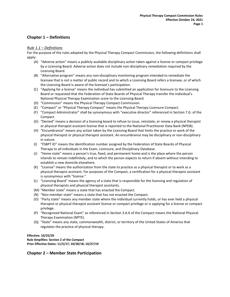### <span id="page-3-0"></span>**Chapter 1 – Definitions**

### <span id="page-3-1"></span>*Rule 1.1 – Definitions*

For the purpose of the rules adopted by the Physical Therapy Compact Commission, the following definitions shall apply:

- (A) "Adverse action" means a publicly available disciplinary action taken against a license or compact privilege by a Licensing Board. Adverse action does not include non-disciplinary remediation required by the Licensing Board.
- (B) "Alternative program" means any non-disciplinary monitoring program intended to remediate the licensee that is not a matter of public record and to which a Licensing Board refers a licensee, or of which the Licensing Board is aware of the licensee's participation.
- (C) "Applying for a license" means the individual has submitted an application for licensure to the Licensing Board or requested that the Federation of State Boards of Physical Therapy transfer the individual's National Physical Therapy Examination score to the Licensing Board.
- (D) "Commission" means the Physical Therapy Compact Commission.
- (E) "Compact" or "Physical Therapy Compact" means the Physical Therapy Licensure Compact.
- (F) "Compact Administrator" shall be synonymous with "executive director" referenced in Section 7.G. of the Compact.
- (G) "Denied" means a decision of a licensing board to refuse to issue, reinstate, or renew a physical therapist or physical therapist assistant license that is reported to the National Practitioner Data Bank (NPDB).
- (H) "Encumbrance" means any action taken by the Licensing Board that limits the practice or work of the physical therapist or physical therapist assistant. An encumbrance may be disciplinary or non-disciplinary in nature.
- (I) "FSBPT ID" means the identification number assigned by the Federation of State Boards of Physical Therapy to all individuals in the Exam, Licensure, and Disciplinary Database.
- (J) "Home state" means a person's true, fixed, and permanent home and is the place where the person intends to remain indefinitely, and to which the person expects to return if absent without intending to establish a new domicile elsewhere.
- (K) "License" means the authorization from the state to practice as a physical therapist or to work as a physical therapist assistant. For purposes of the Compact, a certification for a physical therapist assistant is synonymous with "license."
- (L) "Licensing Board" means the agency of a state that is responsible for the licensing and regulation of physical therapists and physical therapist assistants.
- (M) "Member state" means a state that has enacted the Compact.
- (N) "Non-member state" means a state that has not enacted the Compact.
- (O) "Party state" means any member state where the individual currently holds, or has ever held a physical therapist or physical therapist assistant license or compact privilege or is applying for a license or compact privilege.
- (P) "Recognized National Exam" as referenced in Section 3.A.6 of the Compact means the National Physical Therapy Examination (NPTE).
- (Q) "State" means any state, commonwealth, district, or territory of the United States of America that regulates the practice of physical therapy.

#### **Effective: 10/25/20 Rule Amplifies: Section 2 of the Compact Prior Effective Dates: 11/5/17; 10/28/18; 10/27/19**

### <span id="page-3-2"></span>**Chapter 2 – Member State Participation**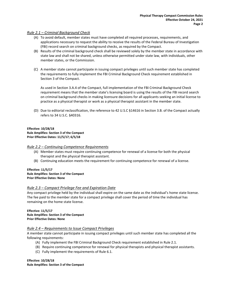### <span id="page-4-0"></span>*Rule 2.1 – Criminal Background Check*

- (A) To avoid default, member states must have completed all required processes, requirements, and applications necessary to request the ability to receive the results of the Federal Bureau of Investigation (FBI) record search on criminal background checks, as required by the Compact.
- (B) Results of the criminal background check shall be reviewed solely by the member state in accordance with state law and shall not be shared, unless otherwise permitted under state law, with individuals, other member states, or the Commission.
- (C) A member state cannot participate in issuing compact privileges until such member state has completed the requirements to fully implement the FBI Criminal Background Check requirement established in Section 3 of the Compact.

As used in Section 3.A.4 of the Compact, full implementation of the FBI Criminal Background Check requirement means that the member state's licensing board is using the results of the FBI record search on criminal background checks in making licensure decisions for all applicants seeking an initial license to practice as a physical therapist or work as a physical therapist assistant in the member state.

(D) Due to editorial reclassification, the reference to 42 U.S.C §14616 in Section 3.B. of the Compact actually refers to 34 U.S.C. §40316.

### **Effective: 10/28/18 Rule Amplifies: Section 3 of the Compact Prior Effective Dates: 11/5/17; 6/5/18**

### <span id="page-4-1"></span>*Rule 2.2 – Continuing Competence Requirements*

- (A) Member states must require continuing competence for renewal of a license for both the physical therapist and the physical therapist assistant.
- (B) Continuing education meets the requirement for continuing competence for renewal of a license.

#### **Effective: 11/5/17 Rule Amplifies: Section 3 of the Compact Prior Effective Dates: None**

### <span id="page-4-2"></span>*Rule 2.3 – Compact Privilege Fee and Expiration Date*

Any compact privilege held by the individual shall expire on the same date as the individual's home state license. The fee paid to the member state for a compact privilege shall cover the period of time the individual has remaining on the home state license.

### **Effective: 11/5/17 Rule Amplifies: Section 3 of the Compact Prior Effective Dates: None**

### <span id="page-4-3"></span>*Rule 2.4 – Requirements to Issue Compact Privileges*

A member state cannot participate in issuing compact privileges until such member state has completed all the following requirements:

- (A) Fully implement the FBI Criminal Background Check requirement established in Rule 2.1.
- (B) Require continuing competence for renewal for physical therapists and physical therapist assistants.
- (C) Fully implement the requirements of Rule 6.1.

**Effective: 10/28/18 Rule Amplifies: Section 3 of the Compact**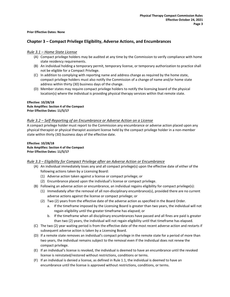### <span id="page-5-0"></span>**Prior Effective Dates: None**

### **Chapter 3 – Compact Privilege Eligibility, Adverse Actions, and Encumbrances**

### <span id="page-5-1"></span>*Rule 3.1 – Home State License*

- (A) Compact privilege holders may be audited at any time by the Commission to verify compliance with home state residency requirements.
- (B) An individual holding a temporary permit, temporary license, or temporary authorization to practice shall not be eligible for a Compact Privilege.
- (C) In addition to complying with reporting name and address change as required by the home state, compact privilege holders must also notify the Commission of a change of name and/or home state address within thirty (30) business days of the change.
- (D) Member states may require compact privilege holders to notify the licensing board of the physical location(s) where the individual is providing physical therapy services within that remote state.

#### **Effective: 10/28/18 Rule Amplifies: Section 4 of the Compact Prior Effective Dates: 11/5/17**

### <span id="page-5-2"></span>*Rule 3.2 – Self-Reporting of an Encumbrance or Adverse Action on a License*

A compact privilege holder must report to the Commission any encumbrance or adverse action placed upon any physical therapist or physical therapist assistant license held by the compact privilege holder in a non-member state within thirty (30) business days of the effective date.

### **Effective: 10/28/18 Rule Amplifies: Section 4 of the Compact Prior Effective Dates: 11/5/17**

### <span id="page-5-3"></span>*Rule 3.3 – Eligibility for Compact Privilege after an Adverse Action or Encumbrance*

- (A) An individual immediately loses any and all compact privilege(s) upon the effective date of either of the following actions taken by a Licensing Board:
	- (1) Adverse action taken against a license or compact privilege; or
	- (2) Encumbrance placed upon the individual's license or compact privilege.
- (B) Following an adverse action or encumbrance, an individual regains eligibility for compact privilege(s):
	- (1) Immediately after the removal of all non-disciplinary encumbrance(s), provided there are no current adverse actions against the license or compact privilege; or
	- (2) Two (2) years from the effective date of the adverse action as specified in the Board Order.
		- a. If the timeframe imposed by the Licensing Board is greater than two years, the individual will not regain eligibility until the greater timeframe has elapsed; or
		- b. If the timeframe when all disciplinary encumbrances have passed and all fines are paid is greater than two (2) years, the individual will not regain eligibility until that timeframe has elapsed.
- (C) The two (2) year waiting period is from the effective date of the most recent adverse action and restarts if subsequent adverse action is taken by a Licensing Board.
- (D) If a remote state removes an individual's compact privilege in the remote state for a period of more than two years, the individual remains subject to the removal even if the individual does not renew the compact privilege.
- (E) If an individual's license is revoked, the individual is deemed to have an encumbrance until the revoked license is reinstated/restored without restrictions, conditions or terms.
- (F) If an individual is denied a license, as defined in Rule 1.1, the individual is deemed to have an encumbrance until the license is approved without restrictions, conditions, or terms.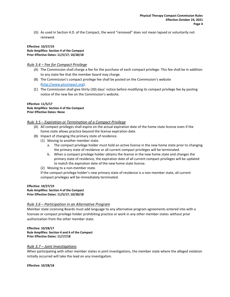(G) As used in Section 4.D. of the Compact, the word "removed" does not mean lapsed or voluntarily not renewed.

#### **Effective: 10/27/19 Rule Amplifies: Section 4 of the Compact Prior Effective Dates: 11/5/17; 10/28/18**

### <span id="page-6-0"></span>*Rule 3.4 – Fee for Compact Privilege*

- (A) The Commission shall charge a fee for the purchase of each compact privilege. This fee shall be in addition to any state fee that the member board may charge.
- (B) The Commission's compact privilege fee shall be posted on the Commission's website [\(http://www.ptcompact.org\)](http://www.ptcompact.org/).
- (C) The Commission shall give thirty (30) days' notice before modifying its compact privilege fee by posting notice of the new fee on the Commission's website.

### **Effective: 11/5/17 Rule Amplifies: Section 4 of the Compact Prior Effective Dates: None**

### <span id="page-6-1"></span>*Rule 3.5 – Expiration or Termination of a Compact Privilege*

- (A) All compact privileges shall expire on the actual expiration date of the home state license even if the home state allows practice beyond the license expiration date.
- (B) Impact of changing the primary state of residence.
	- (1) Moving to another member state.
		- a. The compact privilege holder must hold an active license in the new home state prior to changing the primary state of residence or all current compact privileges will be terminated.
		- b. When a compact privilege holder obtains the license in the new home state and changes the primary state of residence, the expiration date of all current compact privileges will be updated to match the expiration date of the new home state license.
	- (2) Moving to a non-member state.

If the compact privilege holder's new primary state of residence is a non-member state, all current compact privileges will be immediately terminated.

### **Effective: 10/27/19 Rule Amplifies: Section 4 of the Compact Prior Effective Dates: 11/5/17; 10/28/18**

### <span id="page-6-2"></span>*Rule 3.6 – Participation in an Alternative Program*

Member state Licensing Boards must add language to any alternative program agreements entered into with a licensee or compact privilege holder prohibiting practice or work in any other member states without prior authorization from the other member state.

**Effective: 10/28/17 Rule Amplifies: Section 4 and 6 of the Compact Prior Effective Dates: 11/17/18**

### <span id="page-6-3"></span>*Rule 3.7 – Joint Investigations*

When participating with other member states in joint investigations, the member state where the alleged violation initially occurred will take the lead on any investigation.

**Effective: 10/28/18**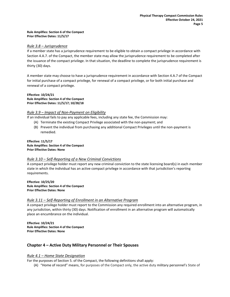#### **Rule Amplifies: Section 6 of the Compact Prior Effective Dates: 11/5/17**

### <span id="page-7-0"></span>*Rule 3.8 – Jurisprudence*

If a member state has a jurisprudence requirement to be eligible to obtain a compact privilege in accordance with Section 4.A.7. of the Compact, the member state may allow the jurisprudence requirement to be completed after the issuance of the compact privilege. In that situation, the deadline to complete the jurisprudence requirement is thirty (30) days.

A member state may choose to have a jurisprudence requirement in accordance with Section 4.A.7 of the Compact for initial purchase of a compact privilege, for renewal of a compact privilege, or for both initial purchase and renewal of a compact privilege.

**Effective: 10/24/21 Rule Amplifies: Section 4 of the Compact Prior Effective Dates: 11/5/17; 10/28/18**

### <span id="page-7-1"></span>*Rule 3.9 – Impact of Non-Payment on Eligibility*

If an individual fails to pay any applicable fees, including any state fee, the Commission may:

- (A) Terminate the existing Compact Privilege associated with the non-payment; and
- (B) Prevent the individual from purchasing any additional Compact Privileges until the non-payment is remedied.

**Effective: 11/5/17 Rule Amplifies: Section 4 of the Compact Prior Effective Dates: None**

### <span id="page-7-2"></span>*Rule 3.10 – Self-Reporting of a New Criminal Convictions*

A compact privilege holder must report any new criminal conviction to the state licensing board(s) in each member state in which the individual has an active compact privilege in accordance with that jurisdiction's reporting requirements.

**Effective: 10/25/20 Rule Amplifies: Section 4 of the Compact Prior Effective Dates: None**

### <span id="page-7-3"></span>*Rule 3.11 – Self-Reporting of Enrollment in an Alternative Program*

A compact privilege holder must report to the Commission any required enrollment into an alternative program, in any jurisdiction, within thirty (30) days. Notification of enrollment in an alternative program will automatically place an encumbrance on the individual.

**Effective: 10/24/21 Rule Amplifies: Section 4 of the Compact Prior Effective Dates: None**

### <span id="page-7-4"></span>**Chapter 4 – Active Duty Military Personnel or Their Spouses**

### <span id="page-7-5"></span>*Rule 4.1 – Home State Designation*

For the purposes of Section 5. of the Compact, the following definitions shall apply:

(A) "Home of record" means, for purposes of the Compact only, the active duty military personnel's State of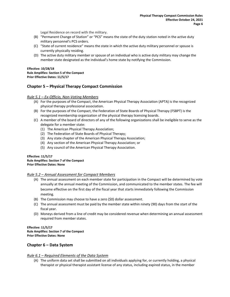Legal Residence on record with the military.

- (B) "Permanent Change of Station" or "PCS" means the state of the duty station noted in the active duty military personnel's PCS orders.
- (C) "State of current residence" means the state in which the active duty military personnel or spouse is currently physically residing.
- (D) The active duty military member or spouse of an individual who is active duty military may change the member state designated as the individual's home state by notifying the Commission.

### **Effective: 10/28/18 Rule Amplifies: Section 5 of the Compact Prior Effective Dates: 11/5/17**

### <span id="page-8-0"></span>**Chapter 5 – Physical Therapy Compact Commission**

### <span id="page-8-1"></span>*Rule 5.1 – Ex-Officio, Non-Voting Members*

- (A) For the purposes of the Compact, the American Physical Therapy Association (APTA) is the recognized physical therapy professional association.
- (B) For the purposes of the Compact, the Federation of State Boards of Physical Therapy (FSBPT) is the recognized membership organization of the physical therapy licensing boards.
- (C) A member of the board of directors of any of the following organizations shall be ineligible to serve as the delegate for a member state:
	- (1) The American Physical Therapy Association;
	- (2) The Federation of State Boards of Physical Therapy;
	- (3) Any state chapter of the American Physical Therapy Association;
	- (4) Any section of the American Physical Therapy Association; or
	- (5) Any council of the American Physical Therapy Association.

### **Effective: 11/5/17 Rule Amplifies: Section 7 of the Compact Prior Effective Dates: None**

### <span id="page-8-2"></span>*Rule 5.2 – Annual Assessment for Compact Members*

- (A) The annual assessment on each member state for participation in the Compact will be determined by vote annually at the annual meeting of the Commission, and communicated to the member states. The fee will become effective on the first day of the fiscal year that starts immediately following the Commission meeting.
- (B) The Commission may choose to have a zero (\$0) dollar assessment.
- (C) The annual assessment must be paid by the member state within ninety (90) days from the start of the fiscal year.
- (D) Moneys derived from a line of credit may be considered revenue when determining an annual assessment required from member states.

#### **Effective: 11/5/17 Rule Amplifies: Section 7 of the Compact Prior Effective Dates: None**

### <span id="page-8-3"></span>**Chapter 6 – Data System**

### <span id="page-8-4"></span>*Rule 6.1 – Required Elements of the Data System*

(A) The uniform data set shall be submitted on all individuals applying for, or currently holding, a physical therapist or physical therapist assistant license of any status, including expired status, in the member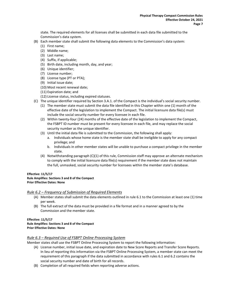state. The required elements for all licenses shall be submitted in each data file submitted to the Commission's data system.

- (B) Each member state shall submit the following data elements to the Commission's data system:
	- (1) First name;
	- (2) Middle name;
	- (3) Last name;
	- (4) Suffix, if applicable;
	- (5) Birth date, including month, day, and year;
	- (6) Unique identifier;
	- (7) License number;
	- (8) License type (PT or PTA);
	- (9) Initial issue date;
	- (10) Most recent renewal date;
	- (11) Expiration date; and
	- (12) License status, including expired statuses.
- (C) The unique identifier required by Section 3.A.1. of the Compact is the individual's social security number.
	- (1) The member state must submit the data file identified in this Chapter within one (1) month of the effective date of the legislation to implement the Compact. The initial licensure data file(s) must include the social security number for every licensee in each file.
	- (2) Within twenty-four (24) months of the effective date of the legislation to implement the Compact, the FSBPT ID number must be present for every licensee in each file, and may replace the social security number as the unique identifier.
	- (3) Until the initial data file is submitted to the Commission, the following shall apply:
		- a. Individuals whose home state is the member state shall be ineligible to apply for any compact privilege; and
		- b. Individuals in other member states will be unable to purchase a compact privilege in the member state.
	- (4) Notwithstanding paragraph (C)(1) of this rule, Commission staff may approve an alternate mechanism to comply with the initial licensure data file(s) requirement if the member state does not maintain the full, unmasked, social security number for licensees within the member state's database.

### **Effective: 11/5/17 Rule Amplifies: Sections 3 and 8 of the Compact Prior Effective Dates: None**

### <span id="page-9-0"></span>*Rule 6.2 – Frequency of Submission of Required Elements*

- (A) Member states shall submit the data elements outlined in rule 6.1 to the Commission at least one (1) time per week.
- (B) The full extract of the data must be provided in a file format and in a manner agreed to by the Commission and the member state.

#### **Effective: 11/5/17 Rule Amplifies: Sections 3 and 8 of the Compact Prior Effective Dates: None**

### <span id="page-9-1"></span>*Rule 6.3 – Required Use of FSBPT Online Processing System*

Member states shall use the FSBPT Online Processing System to report the following information:

- (A) License number, initial issue date, and expiration date to New Score Reports and Transfer Score Reports. In lieu of reporting this information via the FSBPT Online Processing System, a member state can meet the requirement of this paragraph if the data submitted in accordance with rules 6.1 and 6.2 contains the social security number and date of birth for all records.
- (B) Completion of all required fields when reporting adverse actions.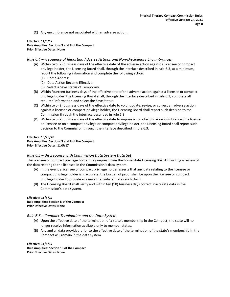(C) Any encumbrance not associated with an adverse action.

#### **Effective: 11/5/17 Rule Amplifies: Sections 3 and 8 of the Compact Prior Effective Dates: None**

### <span id="page-10-0"></span>*Rule 6.4 – Frequency of Reporting Adverse Actions and Non-Disciplinary Encumbrances*

- (A) Within two (2) business days of the effective date of the adverse action against a licensee or compact privilege holder, the Licensing Board shall, through the interface described in rule 6.3, at a minimum, report the following information and complete the following action:
	- (1) Home Address.
	- (2) Date Action Became Effective.
	- (3) Select a Save Status of Temporary.
- (B) Within fourteen business days of the effective date of the adverse action against a licensee or compact privilege holder, the Licensing Board shall, through the interface described in rule 6.3, complete all required information and select the Save Status.
- (C) Within two (2) business days of the effective date to void, update, revise, or correct an adverse action against a licensee or compact privilege holder, the Licensing Board shall report such decision to the Commission through the interface described in rule 6.3.
- (D) Within two (2) business days of the effective date to impose a non-disciplinary encumbrance on a license or licensee or on a compact privilege or compact privilege holder, the Licensing Board shall report such decision to the Commission through the interface described in rule 6.3.

#### **Effective: 10/25/20 Rule Amplifies: Sections 3 and 8 of the Compact Prior Effective Dates: 11/5/17**

### <span id="page-10-1"></span>*Rule 6.5 – Discrepancy with Commission Data System Data Set*

The licensee or compact privilege holder may request from the home state Licensing Board in writing a review of the data relating to the licensee in the Commission's data system.

- (A) In the event a licensee or compact privilege holder asserts that any data relating to the licensee or compact privilege holder is inaccurate, the burden of proof shall be upon the licensee or compact privilege holder to provide evidence that substantiates such claim.
- (B) The Licensing Board shall verify and within ten (10) business days correct inaccurate data in the Commission's data system.

#### **Effective: 11/5/17 Rule Amplifies: Section 8 of the Compact Prior Effective Dates: None**

### <span id="page-10-2"></span>*Rule 6.6 – Compact Termination and the Data System*

- (A) Upon the effective date of the termination of a state's membership in the Compact, the state will no longer receive information available only to member states.
- (B) Any and all data provided prior to the effective date of the termination of the state's membership in the Compact will remain in the data system.

**Effective: 11/5/17 Rule Amplifies: Section 10 of the Compact Prior Effective Dates: None**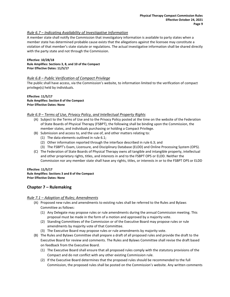### <span id="page-11-0"></span>*Rule 6.7 – Indicating Availability of Investigative Information*

A member state shall notify the Commission that investigatory information is available to party states when a member state has determined probable cause exists that the allegations against the licensee may constitute a violation of that member's state statute or regulations. The actual investigative information shall be shared directly with the party state and not through the Commission.

### **Effective: 10/28/18 Rule Amplifies: Sections 3, 8, and 10 of the Compact Prior Effective Dates: 11/5/17**

### <span id="page-11-1"></span>*Rule 6.8 – Public Verification of Compact Privilege*

The public shall have access, via the Commission's website, to information limited to the verification of compact privilege(s) held by individuals.

**Effective: 11/5/17 Rule Amplifies: Section 8 of the Compact Prior Effective Dates: None**

### <span id="page-11-2"></span>*Rule 6.9 – Terms of Use, Privacy Policy, and Intellectual Property Rights*

- (A) Subject to the Terms of Use and to the Privacy Policy posted at the time on the website of the Federation of State Boards of Physical Therapy (FSBPT), the following shall be binding upon the Commission, the member states, and individuals purchasing or holding a Compact Privilege.
- (B) Submission and access to, and the use of, and other matters relating to:
	- (1) The data elements outlined in rule 6.1;
	- (2) Other information reported through the interface described in rule 6.3; and
	- (3) The FSBPT's Exam, Licensure, and Disciplinary Database (ELDD) and Online Processing System (OPS).
- (C) The Federation of State Boards of Physical Therapy owns all tangible and intangible property, intellectual and other proprietary rights, titles, and interests in and to the FSBPT OPS or ELDD. Neither the Commission nor any member state shall have any rights, titles, or interests in or to the FSBPT OPS or ELDD

### **Effective: 11/5/17**

**Rule Amplifies: Sections 3 and 8 of the Compact Prior Effective Dates: None**

### <span id="page-11-3"></span>**Chapter 7 – Rulemaking**

### <span id="page-11-4"></span>*Rule 7.1 – Adoption of Rules; Amendments*

- (A) Proposed new rules and amendments to existing rules shall be referred to the Rules and Bylaws Committee as follows:
	- (1) Any Delegate may propose rules or rule amendments during the annual Commission meeting. This proposal must be made in the form of a motion and approved by a majority vote.
	- (2) Standing Committees of the Commission or of the Executive Board may propose rules or rule amendments by majority vote of that Committee.
	- (3) The Executive Board may propose rules or rule amendments by majority vote.
- (B) The Rules and Bylaws Committee shall prepare a draft of all proposed rules and provide the draft to the Executive Board for review and comments. The Rules and Bylaws Committee shall revise the draft based on feedback from the Executive Board.
	- (1) The Executive Board shall ensure that all proposed rules comply with the statutory provisions of the Compact and do not conflict with any other existing Commission rule.
	- (2) If the Executive Board determines that the proposed rules should be recommended to the full Commission, the proposed rules shall be posted on the Commission's website. Any written comments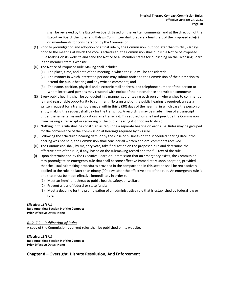shall be reviewed by the Executive Board. Based on the written comments, and at the direction of the Executive Board, the Rules and Bylaws Committee shall prepare a final draft of the proposed rule(s) or amendments for consideration by the Commission.

- (C) Prior to promulgation and adoption of a final rule by the Commission, but not later than thirty (30) days prior to the meeting at which the vote is scheduled, the Commission shall publish a Notice of Proposed Rule Making on its website and send the Notice to all member states for publishing on the Licensing Board in the member state's website.
- (D) The Notice of Proposed Rule Making shall include:
	- (1) The place, time, and date of the meeting in which the rule will be considered;
	- (2) The manner in which interested persons may submit notice to the Commission of their intention to attend the public hearing and any written comments; and
	- (3) The name, position, physical and electronic mail address, and telephone number of the person to whom interested persons may respond with notice of their attendance and written comments.
- (E) Every public hearing shall be conducted in a manner guaranteeing each person who wishes to comment a fair and reasonable opportunity to comment. No transcript of the public hearing is required, unless a written request for a transcript is made within thirty (30) days of the hearing, in which case the person or entity making the request shall pay for the transcript. A recording may be made in lieu of a transcript under the same terms and conditions as a transcript. This subsection shall not preclude the Commission from making a transcript or recording of the public hearing if it chooses to do so.
- (F) Nothing in this rule shall be construed as requiring a separate hearing on each rule. Rules may be grouped for the convenience of the Commission at hearings required by this rule.
- (G) Following the scheduled hearing date, or by the close of business on the scheduled hearing date if the hearing was not held, the Commission shall consider all written and oral comments received.
- (H) The Commission shall, by majority vote, take final action on the proposed rule and determine the effective date of the rule, if any, based on the rulemaking record and the full text of the rule.
- (I) Upon determination by the Executive Board or Commission that an emergency exists, the Commission may promulgate an emergency rule that shall become effective immediately upon adoption, provided that the usual rulemaking procedures provided in the compact and in this section shall be retroactively applied to the rule, no later than ninety (90) days after the effective date of the rule. An emergency rule is one that must be made effective immediately in order to:
	- (1) Meet an imminent threat to public health, safety, or welfare;
	- (2) Prevent a loss of federal or state funds;
	- (3) Meet a deadline for the promulgation of an administrative rule that is established by federal law or rule.

**Effective: 11/5/17 Rule Amplifies: Section 9 of the Compact Prior Effective Dates: None**

<span id="page-12-0"></span>*Rule 7.2 – Publication of Rules* A copy of the Commission's current rules shall be published on its website.

**Effective: 11/5/17 Rule Amplifies: Section 9 of the Compact Prior Effective Dates: None**

### <span id="page-12-1"></span>**Chapter 8 – Oversight, Dispute Resolution, And Enforcement**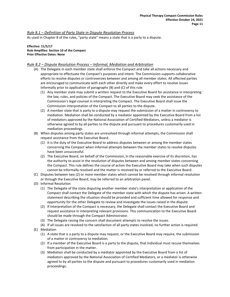### <span id="page-13-0"></span>*Rule 8.1 – Definition of Party State in Dispute Resolution Process*

As used in Chapter 8 of the rules, "party state" means a state that is a party to a dispute.

#### **Effective: 11/5/17 Rule Amplifies: Section 10 of the Compact Prior Effective Dates: None**

### <span id="page-13-1"></span>*Rule 8.2 – Dispute Resolution Process – Informal, Mediation and Arbitration*

- (A) The Delegate in each member state shall enforce the Compact and take all actions necessary and appropriate to effectuate the Compact's purposes and intent. The Commission supports collaborative efforts to resolve disputes or controversies between and among all member states. All affected parties are encouraged to communicate with each other directly and make every effort to resolve issues informally prior to application of paragraphs (B) and (C) of this rule.
	- (1) Any member state may submit a written request to the Executive Board for assistance in interpreting the law, rules, and policies of the Compact. The Executive Board may seek the assistance of the Commission's legal counsel in interpreting the Compact. The Executive Board shall issue the Commission interpretation of the Compact to all parties to the dispute.
	- (2) A member state that is party to a dispute may request the submission of a matter in controversy to mediation. Mediation shall be conducted by a mediator appointed by the Executive Board from a list of mediators approved by the National Association of Certified Mediators, unless a mediator is otherwise agreed to by all parties to the dispute and pursuant to procedures customarily used in mediation proceedings.
- (B) When disputes among party states are unresolved through informal attempts, the Commission shall request assistance from the Executive Board.
	- (1) It is the duty of the Executive Board to address disputes between or among the member states concerning the Compact when informal attempts between the member states to resolve disputes have been unsuccessful.
	- (2) The Executive Board, on behalf of the Commission, in the reasonable exercise of its discretion, has the authority to assist in the resolution of disputes between and among member states concerning the Compact. This rule defines the course of action the Executive Board may take when such disputes cannot be informally resolved and the matter is received by or referred to the Executive Board.
- (C) Disputes between two (2) or more member states which cannot be resolved through informal resolution or through the Executive Board, may be referred to an arbitration panel.
- (D) Informal Resolution
	- (1) The Delegate of the state disputing another member state's interpretation or application of the Compact shall contact the Delegate of the member state with which the dispute has arisen. A written statement describing the situation should be provided and sufficient time allowed for response and opportunity for the other Delegate to review and investigate the issues raised in the dispute.
	- (2) If interpretation of the Compact is necessary, the Delegate shall contact the Executive Board and request assistance in interpreting relevant provisions. This communication to the Executive Board should be made through the Compact Administrator.
	- (3) The Delegate raising the concern shall document attempts to resolve the issues.
	- (4) If all issues are resolved to the satisfaction of all party states involved, no further action is required.
- (E) Mediation
	- (1) A state that is a party to a dispute may request, or the Executive Board may require, the submission of a matter in controversy to mediation.
	- (2) If a member of the Executive Board is a party to the dispute, that individual must recuse themselves from participation in the matter.
	- (3) Mediation shall be conducted by a mediator appointed by the Executive Board from a list of mediators approved by the National Association of Certified Mediators, or a mediator is otherwise agreed to by all parties to the dispute and pursuant to procedures customarily used in mediation proceedings.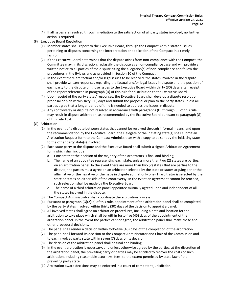- (4) If all issues are resolved through mediation to the satisfaction of all party states involved, no further action is required.
- (F) Executive Board Resolution
	- (1) Member states shall report to the Executive Board, through the Compact Administrator, issues pertaining to disputes concerning the interpretation or application of the Compact in a timely fashion.
	- (2) If the Executive Board determines that the dispute arises from non-compliance with the Compact, the Committee may, in its discretion, reclassify the dispute as a non-compliance case and will provide a written notice to all parties of the dispute citing the allegation(s) of non-compliance and follow the procedures in the Bylaws and as provided in Section 10 of the Compact.
	- (3) In the event there are factual and/or legal issues to be resolved, the states involved in the dispute shall provide written responses regarding the factual and/or legal issues in dispute and the position of each party to the dispute on those issues to the Executive Board within thirty (30) days after receipt of the report referenced in paragraph (D) of this rule for distribution to the Executive Board.
	- (4) Upon receipt of the party states' responses, the Executive Board shall develop a dispute resolution proposal or plan within sixty (60) days and submit the proposal or plan to the party states unless all parties agree that a longer period of time is needed to address the issues in dispute.
	- (5) Any controversy or dispute not resolved in accordance with paragraphs (D) through (F) of this rule may result in dispute arbitration, as recommended by the Executive Board pursuant to paragraph (G) of this rule 15.4.
- (G) Arbitration
	- (1) In the event of a dispute between states that cannot be resolved through informal means, and upon the recommendation by the Executive Board, the Delegate of the initiating state(s) shall submit an Arbitration Request form to the Compact Administrator with a copy to be sent by the initiating state to the other party state(s) involved.
	- (2) Each state party to the dispute and the Executive Board shall submit a signed Arbitration Agreement form which shall include:
		- a. Consent that the decision of the majority of the arbitrators is final and binding;
		- b. The name of an appointee representing each state, unless more than two (2) states are parties, on an arbitration panel. In the event there are more than two (2) states that are parties to the dispute, the parties must agree on an arbitrator selected by the state or states arguing either the affirmative or the negative of the issue in dispute so that only one (1) arbitrator is selected by the state or states on either side of the controversy. In the event an agreement cannot be reached, such selection shall be made by the Executive Board;
		- c. The name of a third arbitration panel appointee mutually agreed upon and independent of all the states involved in the dispute.
	- (3) The Compact Administrator shall coordinate the arbitration process.
	- (4) Pursuant to paragraph (G)(2)(b) of this rule, appointment of the arbitration panel shall be completed by the party states involved within thirty (30) days of the decision to appoint a panel.
	- (5) All involved states shall agree on arbitration procedures, including a date and location for the arbitration to take place which shall be within forty-five (45) days of the appointment of the arbitration panel. In the event the parties cannot agree, the arbitration panel shall make these and other procedural decisions.
	- (6) The panel shall render a decision within forty-five (45) days of the completion of the arbitration.
	- (7) The panel shall forward its decision to the Compact Administrator and Chair of the Commission and to each involved party state within seven (7) days of its decision.
	- (8) The decision of the arbitration panel shall be final and binding.
	- (9) In the event arbitration is necessary, and unless otherwise agreed by the parties, at the discretion of the arbitration panel, the prevailing party or parties may be entitled to recover the costs of such arbitration, including reasonable attorneys' fees, to the extent permitted by state law of the prevailing party state.
	- (10) Arbitration award decisions may be enforced in a court of competent jurisdiction.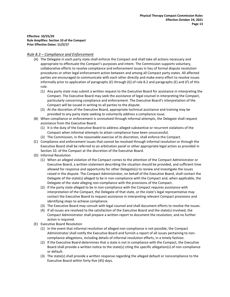**Effective: 10/25/20 Rule Amplifies: Section 10 of the Compact Prior Effective Dates: 11/5/17**

### <span id="page-15-0"></span>*Rule 8.3 – Compliance and Enforcement*

- (A) The Delegate in each party state shall enforce the Compact and shall take all actions necessary and appropriate to effectuate the Compact's purposes and intent. The Commission supports voluntary, collaborative efforts to resolve compliance and enforcement issues in lieu of formal dispute resolution procedures or other legal enforcement action between and among all Compact party states. All affected parties are encouraged to communicate with each other directly and make every effort to resolve issues informally prior to application of paragraphs (E) through (G) of rule 8.2 and paragraphs (E) and (F) of this rule.
	- (1) Any party state may submit a written request to the Executive Board for assistance in interpreting the Compact. The Executive Board may seek the assistance of legal counsel in interpreting the Compact, particularly concerning compliance and enforcement. The Executive Board's interpretation of the Compact will be issued in writing to all parties to the dispute.
	- (2) At the discretion of the Executive Board, appropriate technical assistance and training may be provided to any party state seeking to voluntarily address a compliance issue.
- (B) When compliance or enforcement is unresolved through informal attempts, the Delegate shall request assistance from the Executive Board.
	- (1) It is the duty of the Executive Board to address alleged substantive or recurrent violations of the Compact when informal attempts to attain compliance have been unsuccessful.
	- (2) The Commission, in the reasonable exercise of its discretion, shall enforce the Compact.
- (C) Compliance and enforcement issues that cannot be resolved through informal resolution or through the Executive Board shall be referred to an arbitration panel or other appropriate legal action as provided in Section 10. of the Compact at the discretion of the Executive Board.
- (D) Informal Resolution
	- (1) When an alleged violation of the Compact comes to the attention of the Compact Administrator or Executive Board, a written statement describing the situation should be provided, and sufficient time allowed for response and opportunity for other Delegate(s) to review and investigate the issues raised in the dispute. The Compact Administrator, on behalf of the Executive Board, shall contact the Delegate of the state(s) alleged to be in non-compliance with the Compact and, when applicable, the Delegate of the state alleging non-compliance with the provisions of the Compact.
	- (2) If the party state alleged to be in non-compliance with the Compact requires assistance with interpretation of the Compact, the Delegate of that state, or the state's legal representative may contact the Executive Board to request assistance in interpreting relevant Compact provisions and identifying steps to achieve compliance.
	- (3) The Executive Board may consult with legal counsel and shall document efforts to resolve the issues.
	- (4) If all issues are resolved to the satisfaction of the Executive Board and the state(s) involved, the Compact Administrator shall prepare a written report to document the resolution, and no further action is required.
- (E) Executive Board Resolution
	- (1) In the event that informal resolution of alleged non-compliance is not possible, the Compact Administrator shall notify the Executive Board and furnish a report of all issues pertaining to noncompliance allegations, including details of informal resolution efforts, in a timely fashion.
	- (2) If the Executive Board determines that a state is not in compliance with the Compact, the Executive Board shall provide a written notice to the state(s) citing the specific allegation(s) of non-compliance or default.
	- (3) The state(s) shall provide a written response regarding the alleged default or noncompliance to the Executive Board within forty-five (45) days.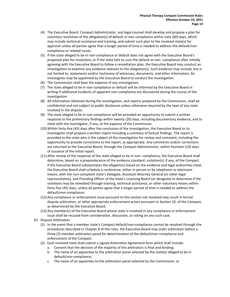- (4) The Executive Board, Compact Administrator, and legal counsel shall develop and propose a plan for voluntary resolution of the allegation(s) of default or non-compliance within sixty (60) days, which may include technical assistance and training, and submit such plan to the involved state(s) for approval unless all parties agree that a longer period of time is needed to address the default/noncompliance or related issues.
- (5) If the state alleged to be in non-compliance or default does not agree with the Executive Board's proposed plan for resolution, or if the state fails to cure the default or non- compliance after initially agreeing with the Executive Board to follow a remediation plan, the Executive Board may conduct an investigation to examine any evidence relevant to the allegation(s). Such evidence may include, but is not limited to, statements and/or testimony of witnesses, documents, and other information. An investigator may be appointed by the Executive Board to conduct the investigation.
- (6) The Commission shall bear the expense of any investigation.
- (7) The state alleged to be in non-compliance or default will be informed by the Executive Board in writing if additional incidents of apparent non-compliance are discovered during the course of the investigation.
- (8) All information obtained during the investigation, and reports prepared by the Commission, shall be confidential and not subject to public disclosure unless otherwise required by the laws of any state involved in the dispute.
- (9) The state alleged to be in non-compliance will be provided an opportunity to submit a written response to the preliminary findings within twenty (20) days, including documentary evidence, and to meet with the investigator, if any, at the expense of the Commission.
- (10) Within forty-five (45) days after the conclusion of the investigation, the Executive Board or its investigator shall prepare a written report including a summary of factual findings. The report is provided to the state who is the subject of the investigation for review and comment, including the opportunity to provide corrections to the report, as appropriate. Any comments and/or corrections are returned to the Executive Board, through the Compact Administrator, within fourteen (14) days of issuance of the initial report.
- (11) After review of the response of the state alleged to be in non- compliance, the Executive Board shall determine, based on a preponderance of the evidence standard, violation(s), if any, of the Compact. If the Executive Board substantiates the allegations based on the evidence and legal authorities cited, the Executive Board shall schedule a conference, either in person or by telephonic or electronic means, with the non-compliant state's Delegate, Assistant Attorney General (or other legal representative), and Presiding Officer of the State's Licensing Board (or designee) to determine if the violations may be remedied through training, technical assistance, or other voluntary means within forty-five (45) days, unless all parties agree that a longer period of time is needed to address the default/non-compliance.
- (12) Any compliance or enforcement issue pursuant to this section not resolved may result in formal dispute arbitration, or other appropriate enforcement action pursuant to Section 10. of the Compact, as determined by the Executive Board.
- (13) Any member(s) of the Executive Board whose state is involved in any compliance or enforcement issue shall be recused from consideration, discussion, or voting on any such case.
- (F) Dispute Arbitration
	- (1) In the event that a member state's Compact default/non-compliance cannot be resolved through the procedures described in Chapter 8 of the rules, the Executive Board may order arbitration before a three (3) member arbitration panel for determination of the default/non-compliance and enforcement of the Compact.
	- (2) Each involved state shall submit a signed Arbitration Agreement form which shall include:
		- a. Consent that the decision of the majority of the arbitrators is final and binding;
		- b. The name of an appointee to the arbitration panel selected by the state(s) alleged to be in default/non-compliance;
		- c. The name of an appointee to the arbitration panel selected by the Commission, or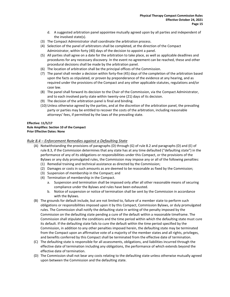- d. A suggested arbitration panel appointee mutually agreed upon by all parties and independent of the involved state(s).
- (3) The Compact Administrator shall coordinate the arbitration process.
- (4) Selection of the panel of arbitrators shall be completed, at the direction of the Compact Administrator, within forty (40) days of the decision to appoint a panel.
- (5) All parties shall agree on a date for the arbitration to take place, as well as applicable deadlines and procedures for any necessary discovery. In the event no agreement can be reached, these and other procedural decisions shall be made by the arbitration panel.
- (6) The location of arbitration shall be the principal offices of the Commission.
- (7) The panel shall render a decision within forty-five (45) days of the completion of the arbitration based upon the facts as stipulated, or proven by preponderance of the evidence at any hearing, and as required under the provisions of the Compact and any other applicable statutes, regulations and/or case law.
- (8) The panel shall forward its decision to the Chair of the Commission, via the Compact Administrator, and to each involved party state within twenty-one (21) days of its decision.
- (9) The decision of the arbitration panel is final and binding.
- (10) Unless otherwise agreed by the parties, and at the discretion of the arbitration panel, the prevailing party or parties may be entitled to recover the costs of the arbitration, including reasonable attorneys' fees, if permitted by the laws of the prevailing state.

### **Effective: 11/5/17 Rule Amplifies: Section 10 of the Compact Prior Effective Dates: None**

### <span id="page-17-0"></span>*Rule 8.4 – Enforcement Remedies against a Defaulting State*

- (A) Notwithstanding the provisions of paragraphs (D) through (G) of rule 8.2 and paragraphs (D) and (E) of rule 8.3, if the Commission determines that any state has at any time defaulted ("defaulting state") in the performance of any of its obligations or responsibilities under this Compact, or the provisions of the Bylaws or any duly promulgated rules, the Commission may impose any or all of the following penalties:
	- (1) Remedial training and technical assistance as directed by the Commission;
	- (2) Damages or costs in such amounts as are deemed to be reasonable as fixed by the Commission;
	- (3) Suspension of membership in the Compact; and
	- (4) Termination of membership in the Compact.
		- a. Suspension and termination shall be imposed only after all other reasonable means of securing compliance under the Bylaws and rules have been exhausted.
		- b. Notice of suspension or notice of termination shall be sent by the Commission in accordance with the Bylaws.
- (B) The grounds for default include, but are not limited to, failure of a member state to perform such obligations or responsibilities imposed upon it by this Compact, Commission Bylaws, or duly promulgated rules. The Commission shall notify the defaulting state in writing of the penalty imposed by the Commission on the defaulting state pending a cure of the default within a reasonable timeframe. The Commission shall stipulate the conditions and the time period within which the defaulting state must cure its default. If the defaulting state fails to cure the default within the time period specified by the Commission, in addition to any other penalties imposed herein, the defaulting state may be terminated from the Compact upon an affirmative vote of a majority of the member states and all rights, privileges, and benefits conferred by this Compact shall be terminated from the effective date of termination.
- (C) The defaulting state is responsible for all assessments, obligations, and liabilities incurred through the effective date of termination including any obligations, the performance of which extends beyond the effective date of termination.
- (D) The Commission shall not bear any costs relating to the defaulting state unless otherwise mutually agreed upon between the Commission and the defaulting state.